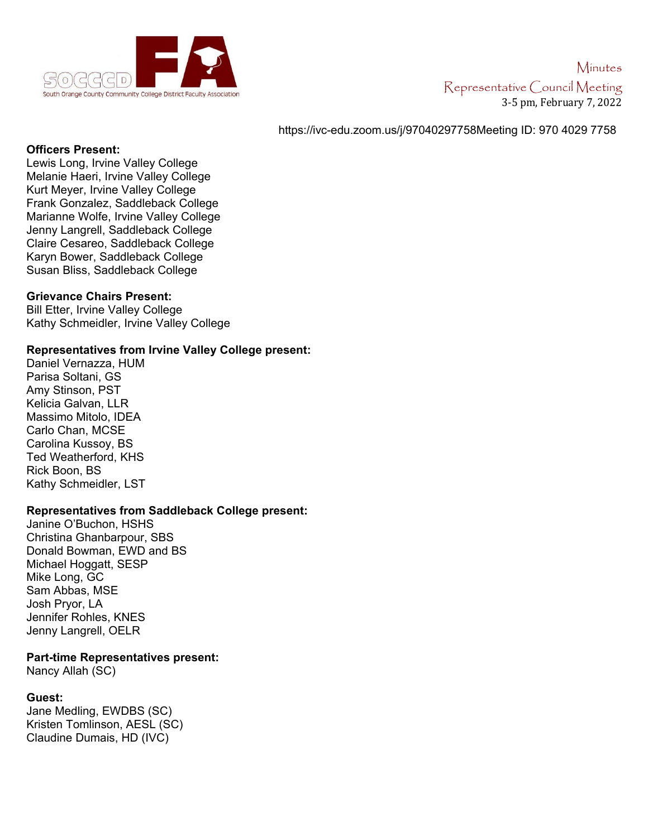

# Minutes Representative Council Meeting 3-5 pm, February 7, 2022

### https://ivc-edu.zoom.us/j/97040297758Meeting ID: 970 4029 7758

#### **Officers Present:**

Lewis Long, Irvine Valley College Melanie Haeri, Irvine Valley College Kurt Meyer, Irvine Valley College Frank Gonzalez, Saddleback College Marianne Wolfe, Irvine Valley College Jenny Langrell, Saddleback College Claire Cesareo, Saddleback College Karyn Bower, Saddleback College Susan Bliss, Saddleback College

#### **Grievance Chairs Present:**

Bill Etter, Irvine Valley College Kathy Schmeidler, Irvine Valley College

#### **Representatives from Irvine Valley College present:**

Daniel Vernazza, HUM Parisa Soltani, GS Amy Stinson, PST Kelicia Galvan, LLR Massimo Mitolo, IDEA Carlo Chan, MCSE Carolina Kussoy, BS Ted Weatherford, KHS Rick Boon, BS Kathy Schmeidler, LST

## **Representatives from Saddleback College present:**

Janine O'Buchon, HSHS Christina Ghanbarpour, SBS Donald Bowman, EWD and BS Michael Hoggatt, SESP Mike Long, GC Sam Abbas, MSE Josh Pryor, LA Jennifer Rohles, KNES Jenny Langrell, OELR

## **Part-time Representatives present:**

Nancy Allah (SC)

## **Guest:**

Jane Medling, EWDBS (SC) Kristen Tomlinson, AESL (SC) Claudine Dumais, HD (IVC)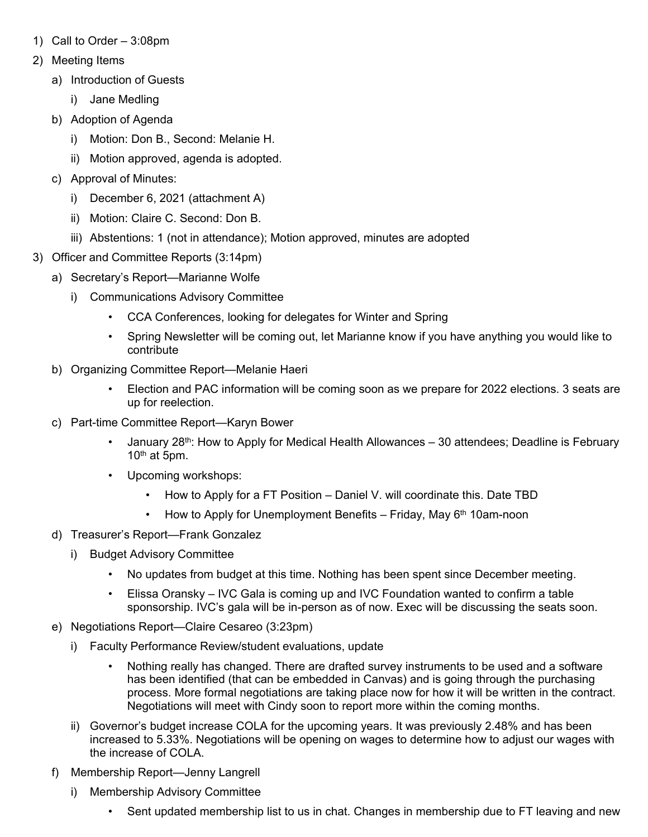- 1) Call to Order 3:08pm
- 2) Meeting Items
	- a) Introduction of Guests
		- i) Jane Medling
	- b) Adoption of Agenda
		- i) Motion: Don B., Second: Melanie H.
		- ii) Motion approved, agenda is adopted.
	- c) Approval of Minutes:
		- i) December 6, 2021 (attachment A)
		- ii) Motion: Claire C. Second: Don B.
		- iii) Abstentions: 1 (not in attendance); Motion approved, minutes are adopted
- 3) Officer and Committee Reports (3:14pm)
	- a) Secretary's Report—Marianne Wolfe
		- i) Communications Advisory Committee
			- CCA Conferences, looking for delegates for Winter and Spring
			- Spring Newsletter will be coming out, let Marianne know if you have anything you would like to contribute
	- b) Organizing Committee Report—Melanie Haeri
		- Election and PAC information will be coming soon as we prepare for 2022 elections. 3 seats are up for reelection.
	- c) Part-time Committee Report—Karyn Bower
		- January  $28<sup>th</sup>$ : How to Apply for Medical Health Allowances 30 attendees; Deadline is February  $10<sup>th</sup>$  at 5pm.
		- Upcoming workshops:
			- How to Apply for a FT Position Daniel V. will coordinate this. Date TBD
			- How to Apply for Unemployment Benefits Friday, May  $6<sup>th</sup>$  10am-noon
	- d) Treasurer's Report—Frank Gonzalez
		- i) Budget Advisory Committee
			- No updates from budget at this time. Nothing has been spent since December meeting.
			- Elissa Oransky IVC Gala is coming up and IVC Foundation wanted to confirm a table sponsorship. IVC's gala will be in-person as of now. Exec will be discussing the seats soon.
	- e) Negotiations Report—Claire Cesareo (3:23pm)
		- i) Faculty Performance Review/student evaluations, update
			- Nothing really has changed. There are drafted survey instruments to be used and a software has been identified (that can be embedded in Canvas) and is going through the purchasing process. More formal negotiations are taking place now for how it will be written in the contract. Negotiations will meet with Cindy soon to report more within the coming months.
		- ii) Governor's budget increase COLA for the upcoming years. It was previously 2.48% and has been increased to 5.33%. Negotiations will be opening on wages to determine how to adjust our wages with the increase of COLA.
	- f) Membership Report—Jenny Langrell
		- i) Membership Advisory Committee
			- Sent updated membership list to us in chat. Changes in membership due to FT leaving and new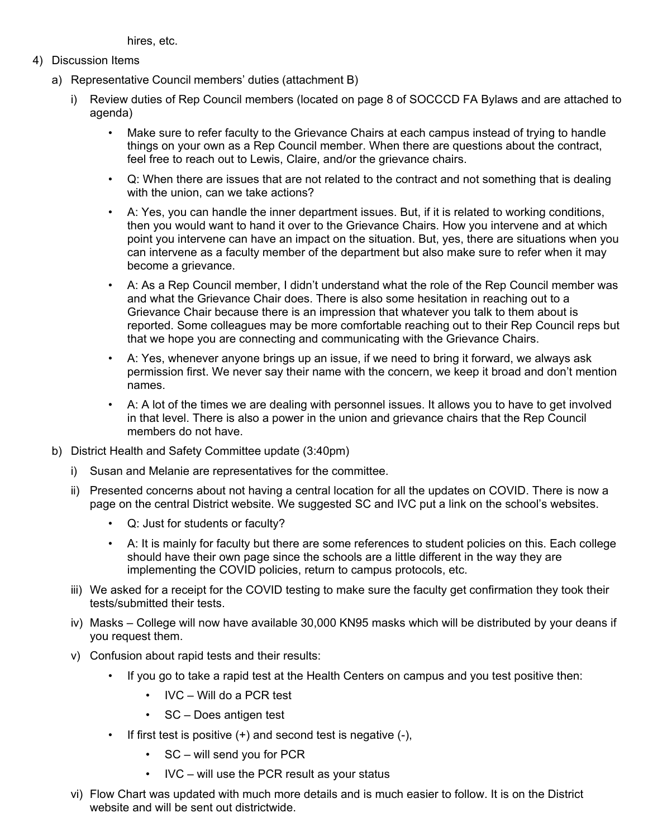hires, etc.

- 4) Discussion Items
	- a) Representative Council members' duties (attachment B)
		- i) Review duties of Rep Council members (located on page 8 of SOCCCD FA Bylaws and are attached to agenda)
			- Make sure to refer faculty to the Grievance Chairs at each campus instead of trying to handle things on your own as a Rep Council member. When there are questions about the contract, feel free to reach out to Lewis, Claire, and/or the grievance chairs.
			- Q: When there are issues that are not related to the contract and not something that is dealing with the union, can we take actions?
			- A: Yes, you can handle the inner department issues. But, if it is related to working conditions, then you would want to hand it over to the Grievance Chairs. How you intervene and at which point you intervene can have an impact on the situation. But, yes, there are situations when you can intervene as a faculty member of the department but also make sure to refer when it may become a grievance.
			- A: As a Rep Council member, I didn't understand what the role of the Rep Council member was and what the Grievance Chair does. There is also some hesitation in reaching out to a Grievance Chair because there is an impression that whatever you talk to them about is reported. Some colleagues may be more comfortable reaching out to their Rep Council reps but that we hope you are connecting and communicating with the Grievance Chairs.
			- A: Yes, whenever anyone brings up an issue, if we need to bring it forward, we always ask permission first. We never say their name with the concern, we keep it broad and don't mention names.
			- A: A lot of the times we are dealing with personnel issues. It allows you to have to get involved in that level. There is also a power in the union and grievance chairs that the Rep Council members do not have.
	- b) District Health and Safety Committee update (3:40pm)
		- i) Susan and Melanie are representatives for the committee.
		- ii) Presented concerns about not having a central location for all the updates on COVID. There is now a page on the central District website. We suggested SC and IVC put a link on the school's websites.
			- Q: Just for students or faculty?
			- A: It is mainly for faculty but there are some references to student policies on this. Each college should have their own page since the schools are a little different in the way they are implementing the COVID policies, return to campus protocols, etc.
		- iii) We asked for a receipt for the COVID testing to make sure the faculty get confirmation they took their tests/submitted their tests.
		- iv) Masks College will now have available 30,000 KN95 masks which will be distributed by your deans if you request them.
		- v) Confusion about rapid tests and their results:
			- If you go to take a rapid test at the Health Centers on campus and you test positive then:
				- IVC Will do a PCR test
				- SC Does antigen test
			- If first test is positive  $(+)$  and second test is negative  $(-)$ ,
				- SC will send you for PCR
				- IVC will use the PCR result as your status
		- vi) Flow Chart was updated with much more details and is much easier to follow. It is on the District website and will be sent out districtwide.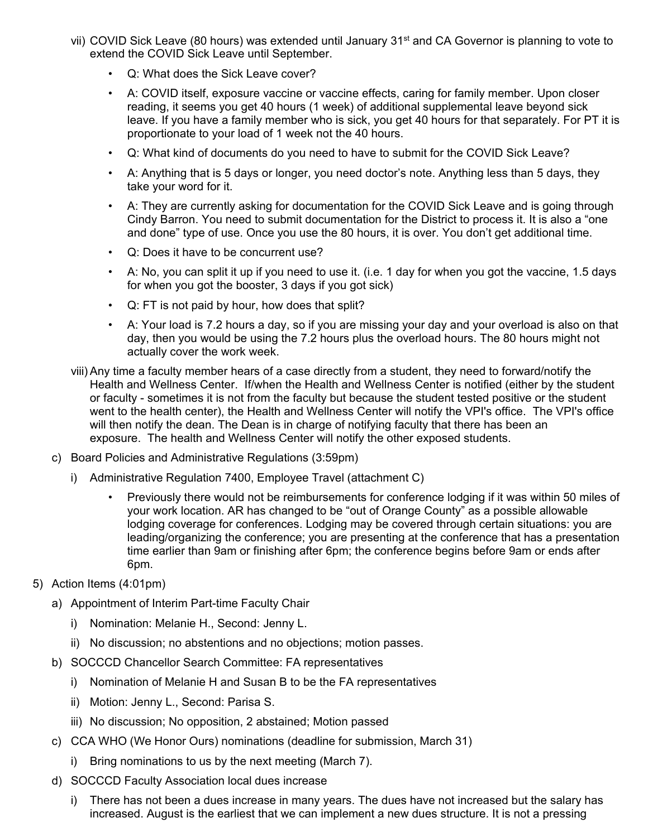- vii) COVID Sick Leave (80 hours) was extended until January 31<sup>st</sup> and CA Governor is planning to vote to extend the COVID Sick Leave until September.
	- Q: What does the Sick Leave cover?
	- A: COVID itself, exposure vaccine or vaccine effects, caring for family member. Upon closer reading, it seems you get 40 hours (1 week) of additional supplemental leave beyond sick leave. If you have a family member who is sick, you get 40 hours for that separately. For PT it is proportionate to your load of 1 week not the 40 hours.
	- Q: What kind of documents do you need to have to submit for the COVID Sick Leave?
	- A: Anything that is 5 days or longer, you need doctor's note. Anything less than 5 days, they take your word for it.
	- A: They are currently asking for documentation for the COVID Sick Leave and is going through Cindy Barron. You need to submit documentation for the District to process it. It is also a "one and done" type of use. Once you use the 80 hours, it is over. You don't get additional time.
	- Q: Does it have to be concurrent use?
	- A: No, you can split it up if you need to use it. (i.e. 1 day for when you got the vaccine, 1.5 days for when you got the booster, 3 days if you got sick)
	- Q: FT is not paid by hour, how does that split?
	- A: Your load is 7.2 hours a day, so if you are missing your day and your overload is also on that day, then you would be using the 7.2 hours plus the overload hours. The 80 hours might not actually cover the work week.
- viii) Any time a faculty member hears of a case directly from a student, they need to forward/notify the Health and Wellness Center. If/when the Health and Wellness Center is notified (either by the student or faculty - sometimes it is not from the faculty but because the student tested positive or the student went to the health center), the Health and Wellness Center will notify the VPI's office. The VPI's office will then notify the dean. The Dean is in charge of notifying faculty that there has been an exposure. The health and Wellness Center will notify the other exposed students.
- c) Board Policies and Administrative Regulations (3:59pm)
	- i) Administrative Regulation 7400, Employee Travel (attachment C)
		- Previously there would not be reimbursements for conference lodging if it was within 50 miles of your work location. AR has changed to be "out of Orange County" as a possible allowable lodging coverage for conferences. Lodging may be covered through certain situations: you are leading/organizing the conference; you are presenting at the conference that has a presentation time earlier than 9am or finishing after 6pm; the conference begins before 9am or ends after 6pm.
- 5) Action Items (4:01pm)
	- a) Appointment of Interim Part-time Faculty Chair
		- i) Nomination: Melanie H., Second: Jenny L.
		- ii) No discussion; no abstentions and no objections; motion passes.
	- b) SOCCCD Chancellor Search Committee: FA representatives
		- i) Nomination of Melanie H and Susan B to be the FA representatives
		- ii) Motion: Jenny L., Second: Parisa S.
		- iii) No discussion; No opposition, 2 abstained; Motion passed
	- c) CCA WHO (We Honor Ours) nominations (deadline for submission, March 31)
		- i) Bring nominations to us by the next meeting (March 7).
	- d) SOCCCD Faculty Association local dues increase
		- i) There has not been a dues increase in many years. The dues have not increased but the salary has increased. August is the earliest that we can implement a new dues structure. It is not a pressing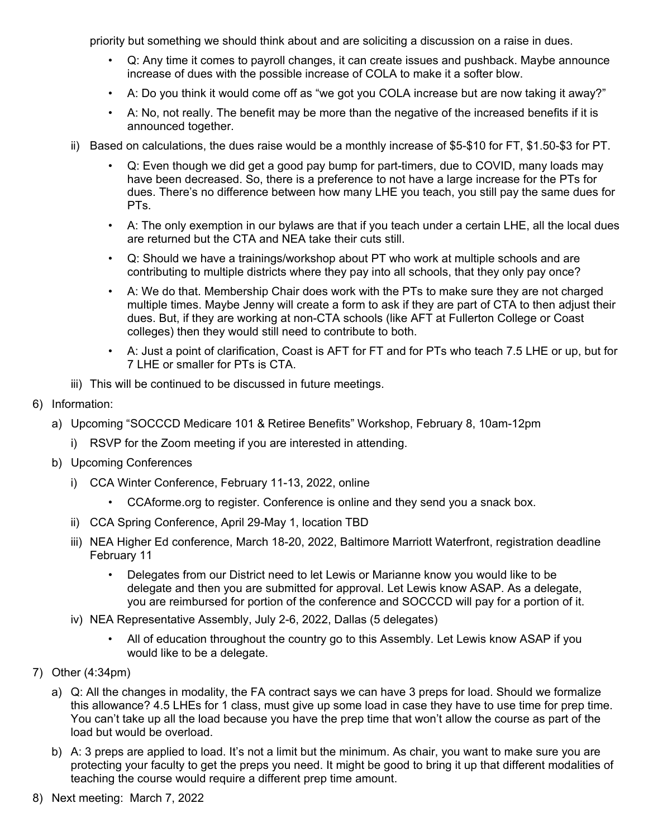priority but something we should think about and are soliciting a discussion on a raise in dues.

- Q: Any time it comes to payroll changes, it can create issues and pushback. Maybe announce increase of dues with the possible increase of COLA to make it a softer blow.
- A: Do you think it would come off as "we got you COLA increase but are now taking it away?"
- A: No, not really. The benefit may be more than the negative of the increased benefits if it is announced together.
- ii) Based on calculations, the dues raise would be a monthly increase of \$5-\$10 for FT, \$1.50-\$3 for PT.
	- Q: Even though we did get a good pay bump for part-timers, due to COVID, many loads may have been decreased. So, there is a preference to not have a large increase for the PTs for dues. There's no difference between how many LHE you teach, you still pay the same dues for PTs.
	- A: The only exemption in our bylaws are that if you teach under a certain LHE, all the local dues are returned but the CTA and NEA take their cuts still.
	- Q: Should we have a trainings/workshop about PT who work at multiple schools and are contributing to multiple districts where they pay into all schools, that they only pay once?
	- A: We do that. Membership Chair does work with the PTs to make sure they are not charged multiple times. Maybe Jenny will create a form to ask if they are part of CTA to then adjust their dues. But, if they are working at non-CTA schools (like AFT at Fullerton College or Coast colleges) then they would still need to contribute to both.
	- A: Just a point of clarification, Coast is AFT for FT and for PTs who teach 7.5 LHE or up, but for 7 LHE or smaller for PTs is CTA.
- iii) This will be continued to be discussed in future meetings.
- 6) Information:
	- a) Upcoming "SOCCCD Medicare 101 & Retiree Benefits" Workshop, February 8, 10am-12pm
		- i) RSVP for the Zoom meeting if you are interested in attending.
	- b) Upcoming Conferences
		- i) CCA Winter Conference, February 11-13, 2022, online
			- CCAforme.org to register. Conference is online and they send you a snack box.
		- ii) CCA Spring Conference, April 29-May 1, location TBD
		- iii) NEA Higher Ed conference, March 18-20, 2022, Baltimore Marriott Waterfront, registration deadline February 11
			- Delegates from our District need to let Lewis or Marianne know you would like to be delegate and then you are submitted for approval. Let Lewis know ASAP. As a delegate, you are reimbursed for portion of the conference and SOCCCD will pay for a portion of it.
		- iv) NEA Representative Assembly, July 2-6, 2022, Dallas (5 delegates)
			- All of education throughout the country go to this Assembly. Let Lewis know ASAP if you would like to be a delegate.
- 7) Other (4:34pm)
	- a) Q: All the changes in modality, the FA contract says we can have 3 preps for load. Should we formalize this allowance? 4.5 LHEs for 1 class, must give up some load in case they have to use time for prep time. You can't take up all the load because you have the prep time that won't allow the course as part of the load but would be overload.
	- b) A: 3 preps are applied to load. It's not a limit but the minimum. As chair, you want to make sure you are protecting your faculty to get the preps you need. It might be good to bring it up that different modalities of teaching the course would require a different prep time amount.
- 8) Next meeting: March 7, 2022